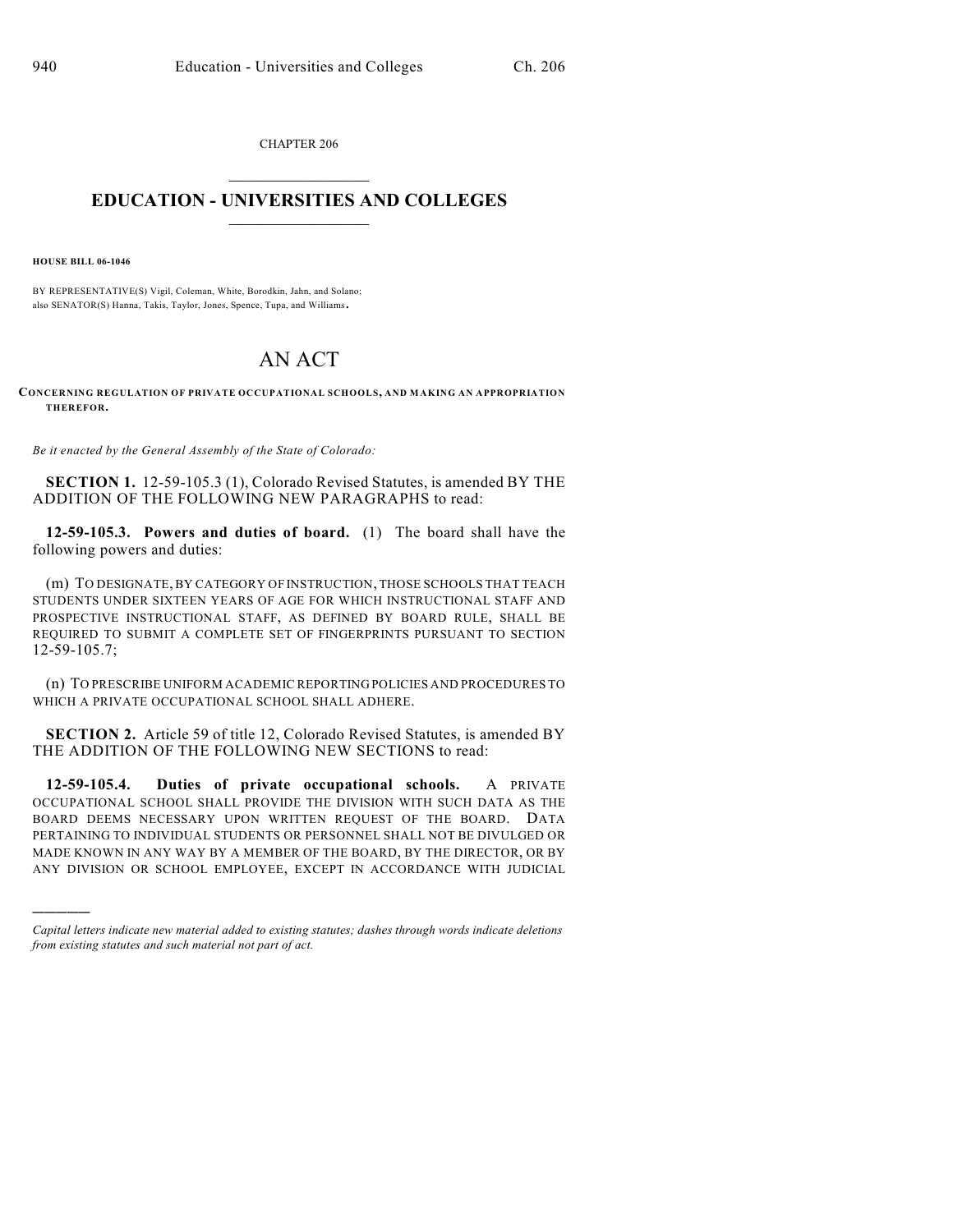CHAPTER 206  $\mathcal{L}_\text{max}$  . The set of the set of the set of the set of the set of the set of the set of the set of the set of the set of the set of the set of the set of the set of the set of the set of the set of the set of the set

## **EDUCATION - UNIVERSITIES AND COLLEGES**  $\_$

**HOUSE BILL 06-1046**

)))))

BY REPRESENTATIVE(S) Vigil, Coleman, White, Borodkin, Jahn, and Solano; also SENATOR(S) Hanna, Takis, Taylor, Jones, Spence, Tupa, and Williams.

## AN ACT

**CONCERNING REGULATION OF PRIVATE OCCUPATIONAL SCHOOLS, AND MAKING AN APPROPRIATION THEREFOR.**

*Be it enacted by the General Assembly of the State of Colorado:*

**SECTION 1.** 12-59-105.3 (1), Colorado Revised Statutes, is amended BY THE ADDITION OF THE FOLLOWING NEW PARAGRAPHS to read:

**12-59-105.3. Powers and duties of board.** (1) The board shall have the following powers and duties:

(m) TO DESIGNATE, BY CATEGORY OF INSTRUCTION, THOSE SCHOOLS THAT TEACH STUDENTS UNDER SIXTEEN YEARS OF AGE FOR WHICH INSTRUCTIONAL STAFF AND PROSPECTIVE INSTRUCTIONAL STAFF, AS DEFINED BY BOARD RULE, SHALL BE REQUIRED TO SUBMIT A COMPLETE SET OF FINGERPRINTS PURSUANT TO SECTION 12-59-105.7;

(n) TO PRESCRIBE UNIFORM ACADEMIC REPORTING POLICIES AND PROCEDURES TO WHICH A PRIVATE OCCUPATIONAL SCHOOL SHALL ADHERE.

**SECTION 2.** Article 59 of title 12, Colorado Revised Statutes, is amended BY THE ADDITION OF THE FOLLOWING NEW SECTIONS to read:

**12-59-105.4. Duties of private occupational schools.** A PRIVATE OCCUPATIONAL SCHOOL SHALL PROVIDE THE DIVISION WITH SUCH DATA AS THE BOARD DEEMS NECESSARY UPON WRITTEN REQUEST OF THE BOARD. DATA PERTAINING TO INDIVIDUAL STUDENTS OR PERSONNEL SHALL NOT BE DIVULGED OR MADE KNOWN IN ANY WAY BY A MEMBER OF THE BOARD, BY THE DIRECTOR, OR BY ANY DIVISION OR SCHOOL EMPLOYEE, EXCEPT IN ACCORDANCE WITH JUDICIAL

*Capital letters indicate new material added to existing statutes; dashes through words indicate deletions from existing statutes and such material not part of act.*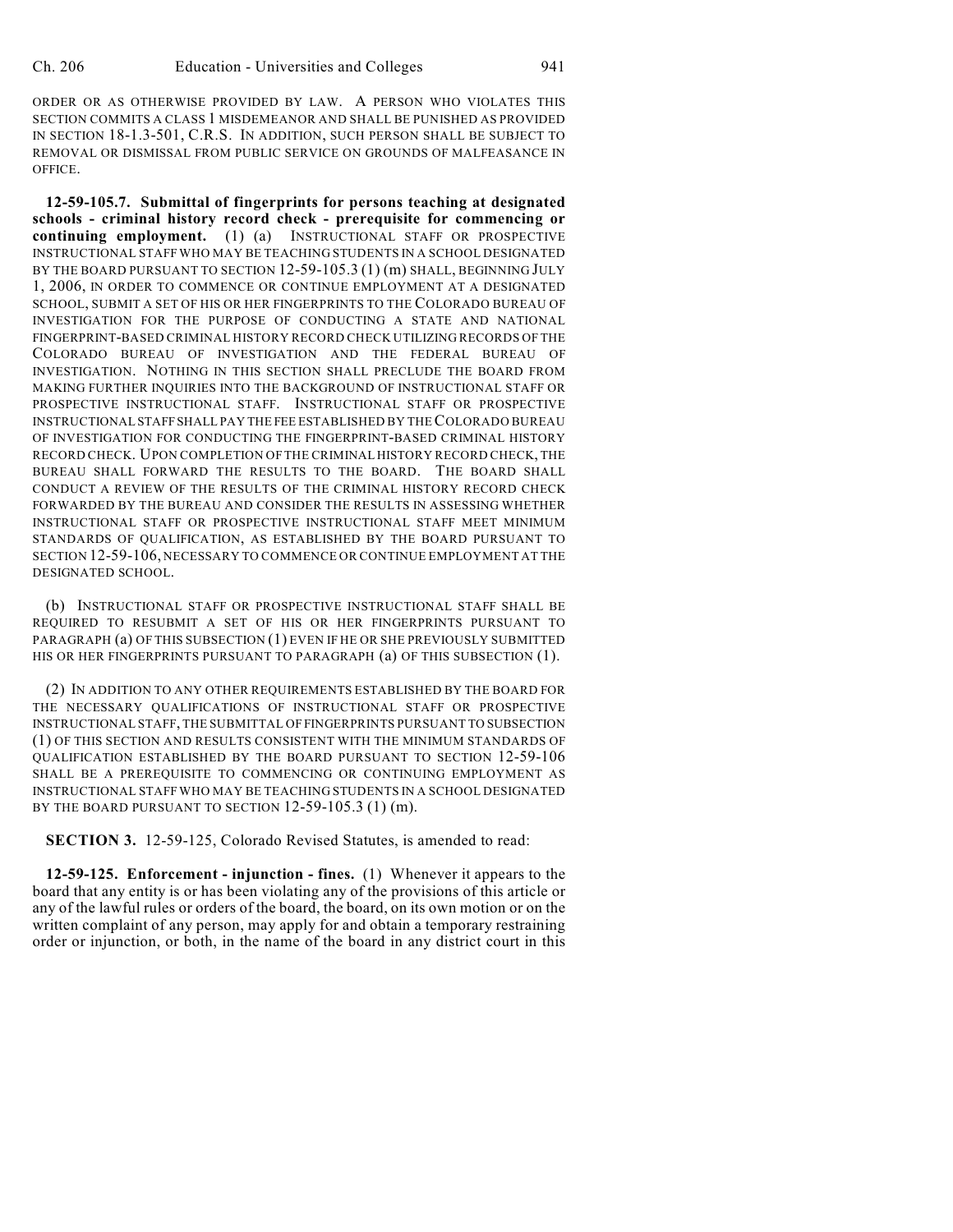ORDER OR AS OTHERWISE PROVIDED BY LAW. A PERSON WHO VIOLATES THIS SECTION COMMITS A CLASS 1 MISDEMEANOR AND SHALL BE PUNISHED AS PROVIDED IN SECTION 18-1.3-501, C.R.S. IN ADDITION, SUCH PERSON SHALL BE SUBJECT TO REMOVAL OR DISMISSAL FROM PUBLIC SERVICE ON GROUNDS OF MALFEASANCE IN OFFICE.

**12-59-105.7. Submittal of fingerprints for persons teaching at designated schools - criminal history record check - prerequisite for commencing or continuing employment.** (1) (a) INSTRUCTIONAL STAFF OR PROSPECTIVE INSTRUCTIONAL STAFF WHO MAY BE TEACHING STUDENTS IN A SCHOOL DESIGNATED BY THE BOARD PURSUANT TO SECTION 12-59-105.3 (1) (m) SHALL, BEGINNING JULY 1, 2006, IN ORDER TO COMMENCE OR CONTINUE EMPLOYMENT AT A DESIGNATED SCHOOL, SUBMIT A SET OF HIS OR HER FINGERPRINTS TO THE COLORADO BUREAU OF INVESTIGATION FOR THE PURPOSE OF CONDUCTING A STATE AND NATIONAL FINGERPRINT-BASED CRIMINAL HISTORY RECORD CHECK UTILIZING RECORDS OF THE COLORADO BUREAU OF INVESTIGATION AND THE FEDERAL BUREAU OF INVESTIGATION. NOTHING IN THIS SECTION SHALL PRECLUDE THE BOARD FROM MAKING FURTHER INQUIRIES INTO THE BACKGROUND OF INSTRUCTIONAL STAFF OR PROSPECTIVE INSTRUCTIONAL STAFF. INSTRUCTIONAL STAFF OR PROSPECTIVE INSTRUCTIONAL STAFF SHALL PAY THE FEE ESTABLISHED BY THE COLORADO BUREAU OF INVESTIGATION FOR CONDUCTING THE FINGERPRINT-BASED CRIMINAL HISTORY RECORD CHECK. UPON COMPLETION OF THE CRIMINAL HISTORY RECORD CHECK, THE BUREAU SHALL FORWARD THE RESULTS TO THE BOARD. THE BOARD SHALL CONDUCT A REVIEW OF THE RESULTS OF THE CRIMINAL HISTORY RECORD CHECK FORWARDED BY THE BUREAU AND CONSIDER THE RESULTS IN ASSESSING WHETHER INSTRUCTIONAL STAFF OR PROSPECTIVE INSTRUCTIONAL STAFF MEET MINIMUM STANDARDS OF QUALIFICATION, AS ESTABLISHED BY THE BOARD PURSUANT TO SECTION 12-59-106, NECESSARY TO COMMENCE OR CONTINUE EMPLOYMENT AT THE DESIGNATED SCHOOL.

(b) INSTRUCTIONAL STAFF OR PROSPECTIVE INSTRUCTIONAL STAFF SHALL BE REQUIRED TO RESUBMIT A SET OF HIS OR HER FINGERPRINTS PURSUANT TO PARAGRAPH (a) OF THIS SUBSECTION (1) EVEN IF HE OR SHE PREVIOUSLY SUBMITTED HIS OR HER FINGERPRINTS PURSUANT TO PARAGRAPH (a) OF THIS SUBSECTION (1).

(2) IN ADDITION TO ANY OTHER REQUIREMENTS ESTABLISHED BY THE BOARD FOR THE NECESSARY QUALIFICATIONS OF INSTRUCTIONAL STAFF OR PROSPECTIVE INSTRUCTIONAL STAFF, THE SUBMITTAL OF FINGERPRINTS PURSUANT TO SUBSECTION (1) OF THIS SECTION AND RESULTS CONSISTENT WITH THE MINIMUM STANDARDS OF QUALIFICATION ESTABLISHED BY THE BOARD PURSUANT TO SECTION 12-59-106 SHALL BE A PREREQUISITE TO COMMENCING OR CONTINUING EMPLOYMENT AS INSTRUCTIONAL STAFF WHO MAY BE TEACHING STUDENTS IN A SCHOOL DESIGNATED BY THE BOARD PURSUANT TO SECTION 12-59-105.3 (1) (m).

**SECTION 3.** 12-59-125, Colorado Revised Statutes, is amended to read:

**12-59-125. Enforcement - injunction - fines.** (1) Whenever it appears to the board that any entity is or has been violating any of the provisions of this article or any of the lawful rules or orders of the board, the board, on its own motion or on the written complaint of any person, may apply for and obtain a temporary restraining order or injunction, or both, in the name of the board in any district court in this